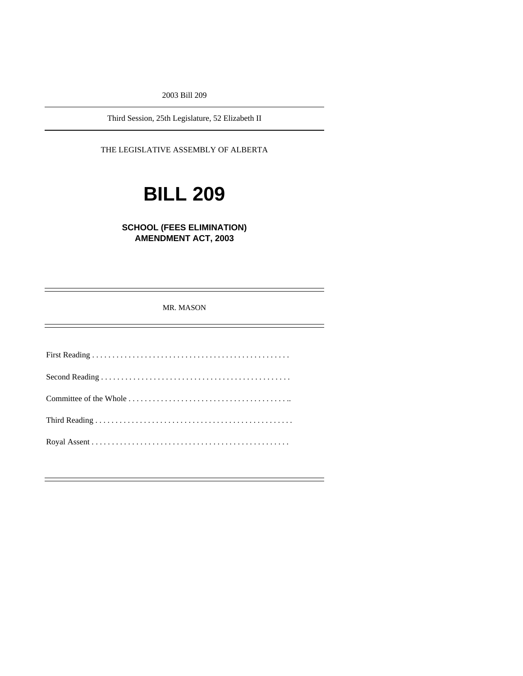2003 Bill 209

Third Session, 25th Legislature, 52 Elizabeth II

THE LEGISLATIVE ASSEMBLY OF ALBERTA

# **BILL 209**

**SCHOOL (FEES ELIMINATION) AMENDMENT ACT, 2003** 

MR. MASON

First Reading . . . . . . . . . . . . . . . . . . . . . . . . . . . . . . . . . . . . . . . . . . . . . . . . . Second Reading . . . . . . . . . . . . . . . . . . . . . . . . . . . . . . . . . . . . . . . . . . . . . . . Committee of the Whole . . . . . . . . . . . . . . . . . . . . . . . . . . . . . . . . . . . . . . . .. Third Reading . . . . . . . . . . . . . . . . . . . . . . . . . . . . . . . . . . . . . . . . . . . . . . . . . Royal Assent . . . . . . . . . . . . . . . . . . . . . . . . . . . . . . . . . . . . . . . . . . . . . . . . .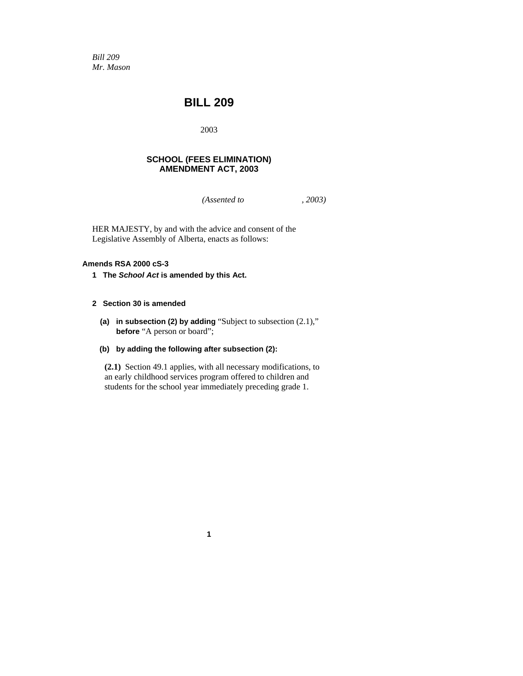*Bill 209 Mr. Mason* 

# **BILL 209**

2003

# **SCHOOL (FEES ELIMINATION) AMENDMENT ACT, 2003**

*(Assented to , 2003)* 

HER MAJESTY, by and with the advice and consent of the Legislative Assembly of Alberta, enacts as follows:

## **Amends RSA 2000 cS-3**

**1 The** *School Act* **is amended by this Act.** 

### **2 Section 30 is amended**

 **(a) in subsection (2) by adding** "Subject to subsection (2.1)," **before** "A person or board";

### **(b) by adding the following after subsection (2):**

**(2.1)** Section 49.1 applies, with all necessary modifications, to an early childhood services program offered to children and students for the school year immediately preceding grade 1.

**1**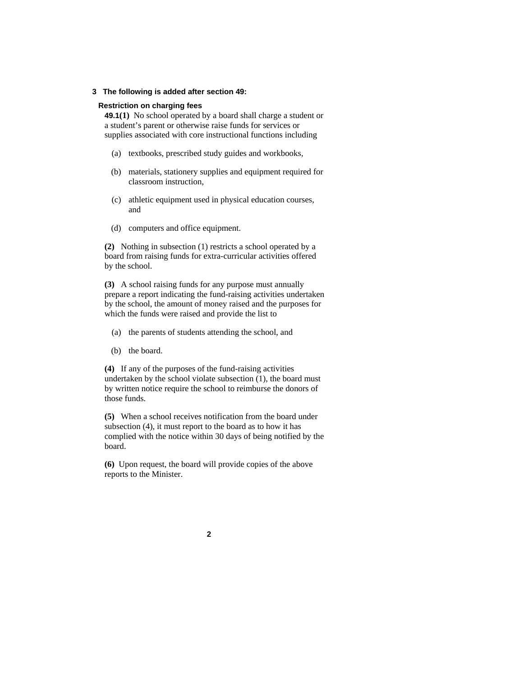#### **3 The following is added after section 49:**

#### **Restriction on charging fees**

**49.1(1)** No school operated by a board shall charge a student or a student's parent or otherwise raise funds for services or supplies associated with core instructional functions including

- (a) textbooks, prescribed study guides and workbooks,
- (b) materials, stationery supplies and equipment required for classroom instruction,
- (c) athletic equipment used in physical education courses, and
- (d) computers and office equipment.

**(2)** Nothing in subsection (1) restricts a school operated by a board from raising funds for extra-curricular activities offered by the school.

**(3)** A school raising funds for any purpose must annually prepare a report indicating the fund-raising activities undertaken by the school, the amount of money raised and the purposes for which the funds were raised and provide the list to

- (a) the parents of students attending the school, and
- (b) the board.

**(4)** If any of the purposes of the fund-raising activities undertaken by the school violate subsection (1), the board must by written notice require the school to reimburse the donors of those funds.

**(5)** When a school receives notification from the board under subsection (4), it must report to the board as to how it has complied with the notice within 30 days of being notified by the board.

**(6)** Upon request, the board will provide copies of the above reports to the Minister.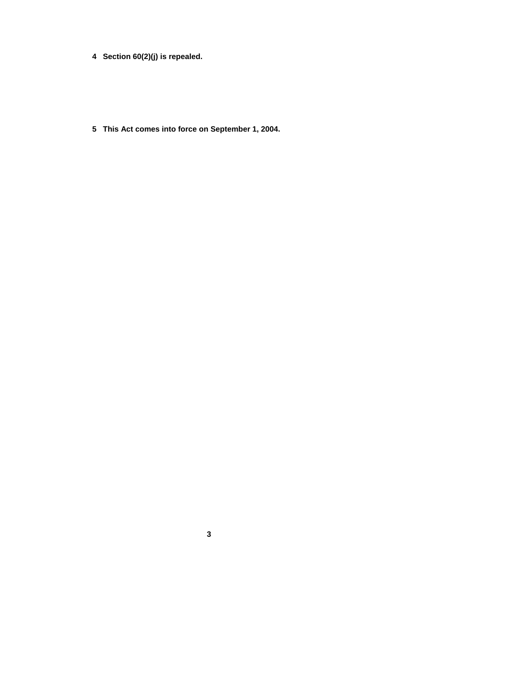- **4 Section 60(2)(j) is repealed.**
- **5 This Act comes into force on September 1, 2004.**

**3**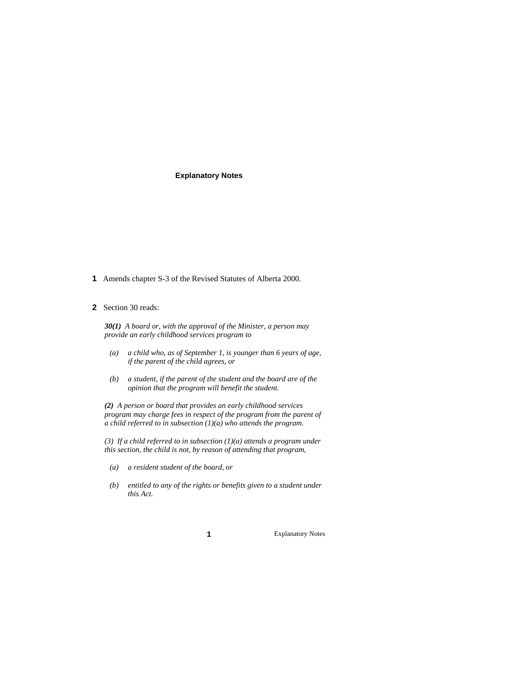#### **Explanatory Notes**

**1** Amends chapter S-3 of the Revised Statutes of Alberta 2000.

#### **2** Section 30 reads:

*30(1) A board or, with the approval of the Minister, a person may provide an early childhood services program to* 

- *(a) a child who, as of September 1, is younger than 6 years of age, if the parent of the child agrees, or*
- *(b) a student, if the parent of the student and the board are of the opinion that the program will benefit the student.*

*(2) A person or board that provides an early childhood services program may charge fees in respect of the program from the parent of a child referred to in subsection (1)(a) who attends the program.* 

*(3) If a child referred to in subsection (1)(a) attends a program under this section, the child is not, by reason of attending that program,* 

- *(a) a resident student of the board, or*
- *(b) entitled to any of the rights or benefits given to a student under this Act.*

**1** Explanatory Notes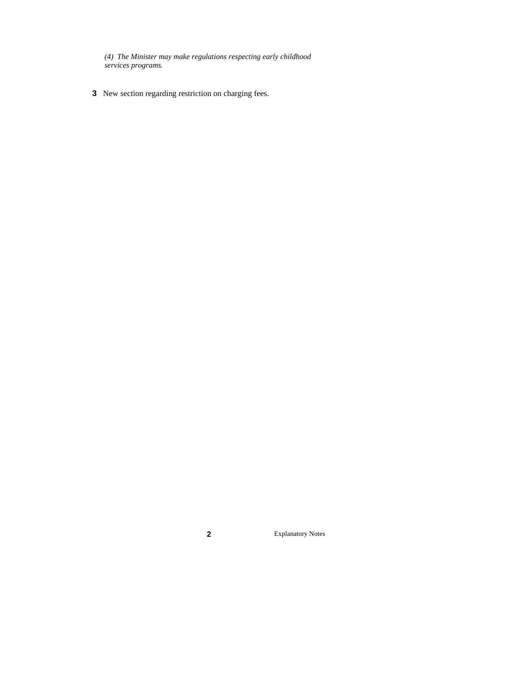*(4) The Minister may make regulations respecting early childhood services programs.*

**3** New section regarding restriction on charging fees.

**2** Explanatory Notes